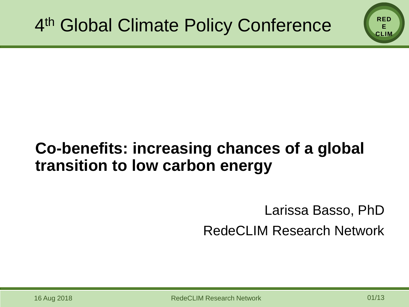### **Co-benefits: increasing chances of a global transition to low carbon energy**

## Larissa Basso, PhD RedeCLIM Research Network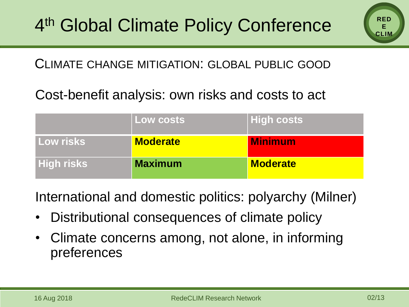

#### CLIMATE CHANGE MITIGATION: GLOBAL PUBLIC GOOD

#### Cost-benefit analysis: own risks and costs to act

|                   | Low costs       | <b>High costs</b> |
|-------------------|-----------------|-------------------|
| <b>Low risks</b>  | <b>Moderate</b> | <b>Minimum</b>    |
| <b>High risks</b> | <b>Maximum</b>  | <b>Moderate</b>   |

International and domestic politics: polyarchy (Milner)

- Distributional consequences of climate policy
- Climate concerns among, not alone, in informing preferences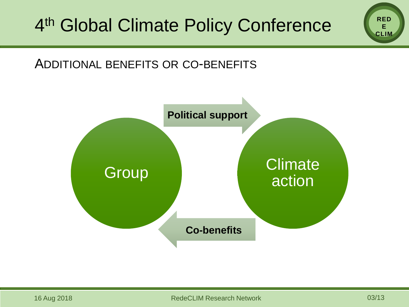#### ADDITIONAL BENEFITS OR CO-BENEFITS

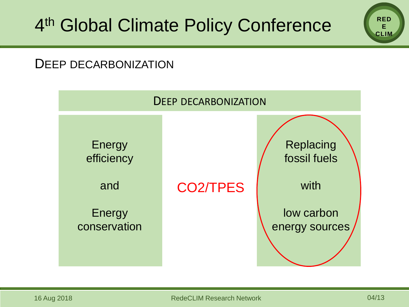#### DEEP DECARBONIZATION

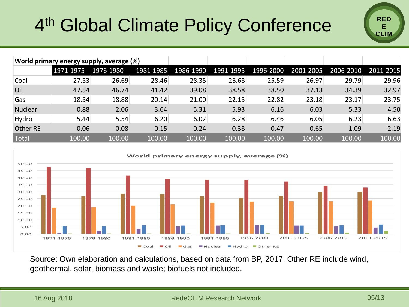# 4<sup>th</sup> Global Climate Policy Conference



| World primary energy supply, average (%) |           |           |           |           |           |           |           |           |           |
|------------------------------------------|-----------|-----------|-----------|-----------|-----------|-----------|-----------|-----------|-----------|
|                                          | 1971-1975 | 1976-1980 | 1981-1985 | 1986-1990 | 1991-1995 | 1996-2000 | 2001-2005 | 2006-2010 | 2011-2015 |
| Coal                                     | 27.53     | 26.69     | 28.46     | 28.35     | 26.68     | 25.59     | 26.97     | 29.79     | 29.96     |
| Oil                                      | 47.54     | 46.74     | 41.42     | 39.08     | 38.58     | 38.50     | 37.13     | 34.39     | 32.97     |
| Gas                                      | 18.54     | 18.88     | 20.14     | 21.00     | 22.15     | 22.82     | 23.18     | 23.17     | 23.75     |
| <b>Nuclear</b>                           | 0.88      | 2.06      | 3.64      | 5.31      | 5.93      | 6.16      | 6.03      | 5.33      | 4.50      |
| Hydro                                    | 5.44      | 5.54      | 6.20      | 6.02      | 6.28      | 6.46      | 6.05      | 6.23      | 6.63      |
| Other RE                                 | 0.06      | 0.08      | 0.15      | 0.24      | 0.38      | 0.47      | 0.65      | 1.09      | 2.19      |
| Total                                    | 100.00    | 100.00    | 100.00    | 100.00    | 100.00    | 100.00    | 100.00    | 100.00    | 100.00    |
|                                          |           |           |           |           |           |           |           |           |           |



Source: Own elaboration and calculations, based on data from BP, 2017. Other RE include wind, geothermal, solar, biomass and waste; biofuels not included.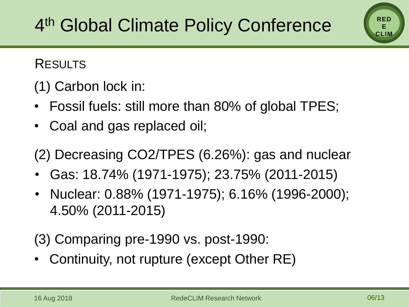RESULTS

(1) Carbon lock in:

- Fossil fuels: still more than 80% of global TPES;
- Coal and gas replaced oil;

**action** (2) Decreasing CO2/TPES (6.26%): gas and nuclear

- Gas: 18.74% (1971-1975); 23.75% (2011-2015)
- Nuclear: 0.88% (1971-1975); 6.16% (1996-2000); 4.50% (2011-2015)

(3) Comparing pre-1990 vs. post-1990:

Continuity, not rupture (except Other RE)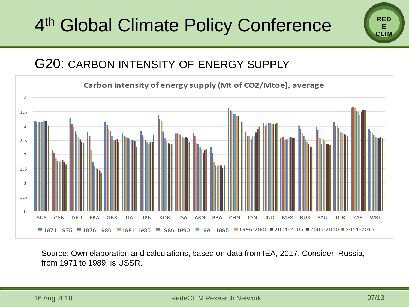## 4<sup>th</sup> Global Climate Policy Conference

#### G20: CARBON INTENSITY OF ENERGY SUPPLY



Source: Own elaboration and calculations, based on data from IEA, 2017. Consider: Russia, from 1971 to 1989, is USSR.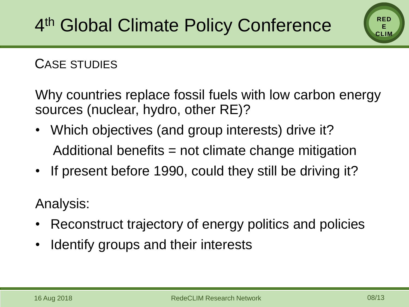#### CASE STUDIES

Why countries replace fossil fuels with low carbon energy sources (nuclear, hydro, other RE)?

- Which objectives (and group interests) drive it? Additional benefits = not climate change mitigation
- If present before 1990, could they still be driving it?

Analysis:

- Reconstruct trajectory of energy politics and policies
- Identify groups and their interests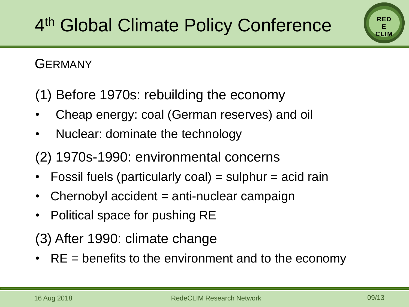#### **GERMANY**

(1) Before 1970s: rebuilding the economy

- Cheap energy: coal (German reserves) and oil
- Nuclear: dominate the technology
- (2) 1970s-1990: environmental concerns
- Fossil fuels (particularly coal) = sulphur = acid rain
- Chernobyl accident = anti-nuclear campaign
- Political space for pushing RE

(3) After 1990: climate change

• RE = benefits to the environment and to the economy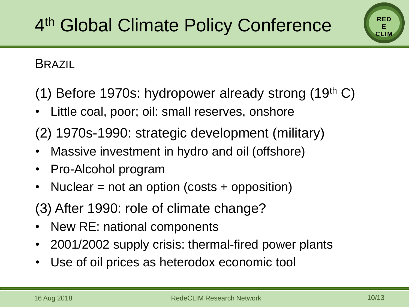#### **BRAZIL**

(1) Before 1970s: hydropower already strong  $(19<sup>th</sup> C)$ 

Little coal, poor; oil: small reserves, onshore

(2) 1970s-1990: strategic development (military)

- Massive investment in hydro and oil (offshore)
- Pro-Alcohol program
- Nuclear = not an option (costs + opposition)
- (3) After 1990: role of climate change?
- New RE: national components
- 2001/2002 supply crisis: thermal-fired power plants
- Use of oil prices as heterodox economic tool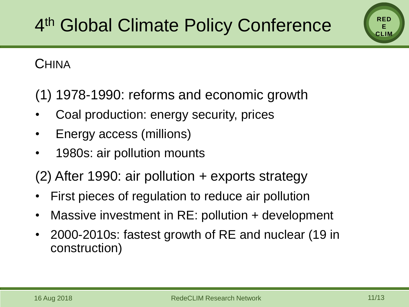#### **CHINA**

(1) 1978-1990: reforms and economic growth

- Coal production: energy security, prices
- Energy access (millions)
- 1980s: air pollution mounts

(2) After 1990: air pollution + exports strategy

- First pieces of regulation to reduce air pollution
- Massive investment in RE: pollution + development
- 2000-2010s: fastest growth of RE and nuclear (19 in construction)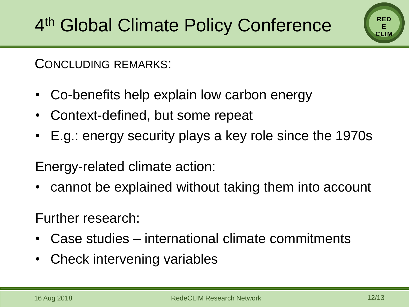CONCLUDING REMARKS:

- Co-benefits help explain low carbon energy
- Context-defined, but some repeat
- E.g.: energy security plays a key role since the 1970s

Energy-related climate action:

• cannot be explained without taking them into account

Further research:

- Case studies international climate commitments
- Check intervening variables